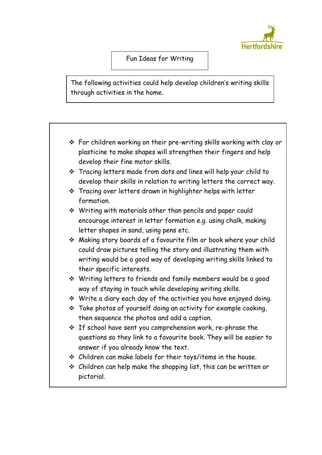

## Fun Ideas for Writing

The following activities could help develop children's writing skills through activities in the home.

- For children working on their pre-writing skills working with clay or plasticine to make shapes will strengthen their fingers and help develop their fine motor skills.
- Tracing letters made from dots and lines will help your child to develop their skills in relation to writing letters the correct way.
- **❖** Tracing over letters drawn in highlighter helps with letter formation.
- Writing with materials other than pencils and paper could encourage interest in letter formation e.g. using chalk, making letter shapes in sand, using pens etc.
- Making story boards of a favourite film or book where your child could draw pictures telling the story and illustrating them with writing would be a good way of developing writing skills linked to their specific interests.
- Writing letters to friends and family members would be a good way of staying in touch while developing writing skills.
- Write a diary each day of the activities you have enjoyed doing.
- \* Take photos of yourself doing an activity for example cooking, then sequence the photos and add a caption.
- $\cdot$  If school have sent you comprehension work, re-phrase the questions so they link to a favourite book. They will be easier to answer if you already know the text.
- Children can make labels for their toys/items in the house.
- $\cdot$  Children can help make the shopping list, this can be written or pictorial.